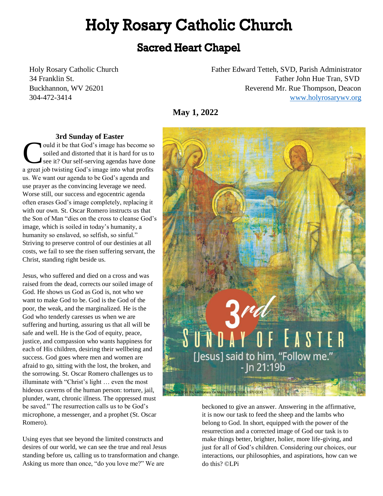# **Holy Rosary Catholic Church**

# **Sacred Heart Chapel**

Holy Rosary Catholic Church Father Edward Tetteh, SVD, Parish Administrator 34 Franklin St. Father John Hue Tran, SVD Buckhannon, WV 26201 **Reverend Mr. Rue Thompson, Deacon** 304-472-3414 [www.holyrosarywv.org](http://www.holyrosarywv.org/)

**May 1, 2022**

#### **3rd Sunday of Easter**

ould it be that God's image has become so soiled and distorted that it is hard for us to see it? Our self-serving agendas have done ould it be that God's image has become so<br>soiled and distorted that it is hard for us to<br>see it? Our self-serving agendas have done<br>a great job twisting God's image into what profits us. We want our agenda to be God's agenda and use prayer as the convincing leverage we need. Worse still, our success and egocentric agenda often erases God's image completely, replacing it with our own. St. Oscar Romero instructs us that the Son of Man "dies on the cross to cleanse God's image, which is soiled in today's humanity, a humanity so enslaved, so selfish, so sinful." Striving to preserve control of our destinies at all costs, we fail to see the risen suffering servant, the Christ, standing right beside us.

Jesus, who suffered and died on a cross and was raised from the dead, corrects our soiled image of God. He shows us God as God is, not who we want to make God to be. God is the God of the poor, the weak, and the marginalized. He is the God who tenderly caresses us when we are suffering and hurting, assuring us that all will be safe and well. He is the God of equity, peace, justice, and compassion who wants happiness for each of His children, desiring their wellbeing and success. God goes where men and women are afraid to go, sitting with the lost, the broken, and the sorrowing. St. Oscar Romero challenges us to illuminate with "Christ's light … even the most hideous caverns of the human person: torture, jail, plunder, want, chronic illness. The oppressed must be saved." The resurrection calls us to be God's microphone, a messenger, and a prophet (St. Oscar Romero).

Using eyes that see beyond the limited constructs and desires of our world, we can see the true and real Jesus standing before us, calling us to transformation and change. Asking us more than once, "do you love me?" We are



beckoned to give an answer. Answering in the affirmative, it is now our task to feed the sheep and the lambs who belong to God. In short, equipped with the power of the resurrection and a corrected image of God our task is to make things better, brighter, holier, more life-giving, and just for all of God's children. Considering our choices, our interactions, our philosophies, and aspirations, how can we do this? ©LPi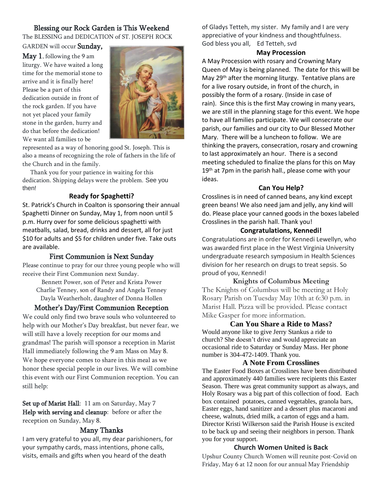# Blessing our Rock Garden is This Weekend

The BLESSING and DEDICATION of ST. JOSEPH ROCK

GARDEN will occur Sunday,

May 1, following the 9 am liturgy. We have waited a long time for the memorial stone to arrive and it is finally here! Please be a part of this dedication outside in front of the rock garden. If you have not yet placed your family stone in the garden, hurry and do that before the dedication! We want all families to be



represented as a way of honoring good St. Joseph. This is also a means of recognizing the role of fathers in the life of the Church and in the family.

 Thank you for your patience in waiting for this dedication. Shipping delays were the problem. See you then!

# **Ready for Spaghetti?**

St. Patrick's Church in Coalton is sponsoring their annual Spaghetti Dinner on Sunday, May 1, from noon until 5 p.m. Hurry over for some delicious spaghetti with meatballs, salad, bread, drinks and dessert, all for just \$10 for adults and \$5 for children under five. Take outs are available.

# First Communion is Next Sunday

Please continue to pray for our three young people who will receive their First Communion next Sunday.

Bennett Power, son of Peter and Krista Power Charlie Tenney, son of Randy and Angela Tenney Dayla Weatherholt, daughter of Donna Hollen

# Mother's Day/First Communion Reception

We could only find two brave souls who volunteered to help with our Mother's Day breakfast, but never fear, we will still have a lovely reception for our moms and grandmas! The parish will sponsor a reception in Marist Hall immediately following the 9 am Mass on May 8. We hope everyone comes to share in this meal as we honor these special people in our lives. We will combine this event with our First Communion reception. You can still help:

Set up of Marist Hall: 11 am on Saturday, May 7 Help with serving and cleanup: before or after the reception on Sunday, May 8.

# Many Thanks

I am very grateful to you all, my dear parishioners, for your sympathy cards, mass intentions, phone calls, visits, emails and gifts when you heard of the death

of Gladys Tetteh, my sister. My family and I are very appreciative of your kindness and thoughtfulness. God bless you all, Ed Tetteh, svd

#### **May Procession**

A May Procession with rosary and Crowning Mary Queen of May is being planned. The date for this will be May 29<sup>th</sup> after the morning liturgy. Tentative plans are for a live rosary outside, in front of the church, in possibly the form of a rosary. (Inside in case of rain). Since this is the first May crowing in many years, we are still in the planning stage for this event. We hope to have all families participate. We will consecrate our parish, our families and our city to Our Blessed Mother Mary. There will be a luncheon to follow. We are thinking the prayers, consecration, rosary and crowning to last approximately an hour. There is a second meeting scheduled to finalize the plans for this on May 19<sup>th</sup> at 7pm in the parish hall., please come with your ideas.

## **Can You Help?**

Crosslines is in need of canned beans, any kind except green beans! We also need jam and jelly, any kind will do. Please place your canned goods in the boxes labeled Crosslines in the parish hall. Thank you!

# **Congratulations, Kennedi!**

Congratulations are in order for Kennedi Lewellyn, who was awarded first place in the West Virginia University undergraduate research symposium in Health Sciences division for her research on drugs to treat sepsis. So proud of you, Kennedi!

**Knights of Columbus Meeting** The Knights of Columbus will be meeting at Holy Rosary Parish on Tuesday May 10th at 6:30 p.m. in Marist Hall. Pizza will be provided. Please contact Mike Gasper for more information.

**Can You Share a Ride to Mass?**

Would anyone like to give Jerry Stankus a ride to church? She doesn't drive and would appreciate an occasional ride to Saturday or Sunday Mass. Her phone number is 304-472-1409. Thank you.

## **A Note From Crosslines**

The Easter Food Boxes at Crosslines have been distributed and approximately 440 families were recipients this Easter Season. There was great community support as always, and Holy Rosary was a big part of this collection of food. Each box contained potatoes, canned vegetables, granola bars, Easter eggs, hand sanitizer and a dessert plus macaroni and cheese, walnuts, dried milk, a carton of eggs and a ham. Director Kristi Wilkerson said the Parish House is excited to be back up and seeing their neighbors in person. Thank you for your support.

# **Church Women United is Back**

Upshur County Church Women will reunite post-Covid on Friday, May 6 at 12 noon for our annual May Friendship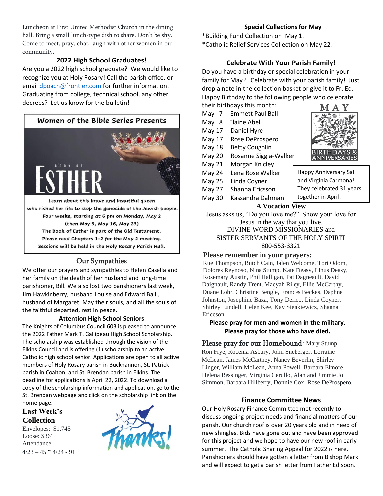Luncheon at First United Methodist Church in the dining hall. Bring a small lunch-type dish to share. Don't be shy. Come to meet, pray, chat, laugh with other women in our community.

# **2022 High School Graduates!**

Are you a 2022 high school graduate? We would like to recognize you at Holy Rosary! Call the parish office, or email [dpoach@frontier.com](mailto:dpoach@frontier.com) for further information. Graduating from college, technical school, any other decrees? Let us know for the bulletin!



Learn about this brave and beautiful queen who risked her life to stop the genocide of the Jewish people. Four weeks, starting at 6 pm on Monday, May 2 (then May 9, May 16, May 23) The Book of Esther is part of the Old Testament. Please read Chapters 1-2 for the May 2 meeting. Sessions will be held in the Holy Rosary Parish Hall.

# Our Sympathies

We offer our prayers and sympathies to Helen Casella and her family on the death of her husband and long-time parishioner, Bill. We also lost two parishioners last week, Jim Hawkinberry, husband Louise and Edward Balli, husband of Margaret. May their souls, and all the souls of the faithful departed, rest in peace.

#### **Attention High School Seniors**

The Knights of Columbus Council 603 is pleased to announce the 2022 Father Mark T. Gallipeau High School Scholarship. The scholarship was established through the vision of the Elkins Council and is offering (1) scholarship to an active Catholic high school senior. Applications are open to all active members of Holy Rosary parish in Buckhannon, St. Patrick parish in Coalton, and St. Brendan parish in Elkins. The deadline for applications is April 22, 2022. To download a copy of the scholarship information and application, go to the St. Brendan webpage and click on the scholarship link on the home page.

# **Last Week's Collection**

Envelopes: \$1,745 Loose: \$361 Attendance  $4/23 - 45 \approx 4/24 - 91$ 



# **Special Collections for May**

\*Building Fund Collection on May 1. \*Catholic Relief Services Collection on May 22.

# **Celebrate With Your Parish Family!**

Do you have a birthday or special celebration in your family for May? Celebrate with your parish family! Just drop a note in the collection basket or give it to Fr. Ed. Happy Birthday to the following people who celebrate

- their birthdays this month: May 7 Emmett Paul Ball May 8 Elaine Abel May 17 Daniel Hyre May 17 Rose DeProspero
- May 18 Betty Coughlin
- May 20 Rosanne Siggia-Walker
- 
- May 21 Morgan Knicley May 24 Lena Rose Walker Happy Anniversary Sal
- May 25 Linda Coyner
- May 27 Shanna Ericsson
- May 30 Kassandra Dahman **A Vocation View**

Jesus asks us, "Do you love me?" Show your love for Jesus in the way that you live. DIVINE WORD MISSIONARIES and SISTER SERVANTS OF THE HOLY SPIRIT 800-553-3321

# **Please remember in your prayers:**

Rue Thompson, Butch Cain, Jalen Welcome, Tori Odom, Dolores Reynoso, Nina Stump, Kate Deasy, Linus Deasy, Rosemary Austin, Phil Halligan, Pat Dagneault, David Daignault, Randy Trent, Macyah Riley, Ellie McCarthy, Duane Lohr, Christine Bengle, Frances Beckes, Daphne Johnston, Josephine Baxa, Tony Derico, Linda Coyner, Shirley Lundell, Helen Kee, Kay Sienkiewicz, Shanna Ericcson.

# **Please pray for men and women in the military. Please pray for those who have died.**

Please pray for our Homebound: Mary Stump, Ron Frye, Rocenia Asbury, John Sneberger, Lorraine McLean, James McCartney, Nancy Beverlin, Shirley Linger, William McLean, Anna Powell, Barbara Elmore, Helena Bessinger, Virginia Cerullo, Alan and Jimmie Jo Simmon, Barbara Hillberry, Donnie Cox, Rose DeProspero.

# **Finance Committee News**

Our Holy Rosary Finance Committee met recently to discuss ongoing project needs and financial matters of our parish. Our church roof is over 20 years old and in need of new shingles. Bids have gone out and have been approved for this project and we hope to have our new roof in early summer. The Catholic Sharing Appeal for 2022 is here. Parishioners should have gotten a letter from Bishop Mark and will expect to get a parish letter from Father Ed soon.



and Virginia Carmona! They celebrated 31 years

together in April!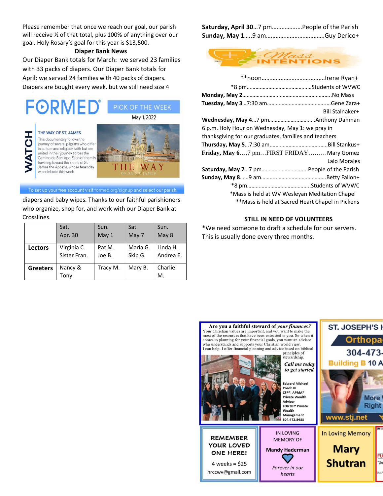Please remember that once we reach our goal, our parish will receive ½ of that total, plus 100% of anything over our goal. Holy Rosary's goal for this year is \$13,500.

# **Diaper Bank News**

Our Diaper Bank totals for March: we served 23 families with 33 packs of diapers. Our Diaper Bank totals for April: we served 24 families with 40 packs of diapers. Diapers are bought every week, but we still need size 4



To set up your free account visit formed.org/signup and select our parish.

diapers and baby wipes. Thanks to our faithful parishioners who organize, shop for, and work with our Diaper Bank at Crosslines.

|                 | Sat.                        | Sun.             | Sat.                | Sun.                  |
|-----------------|-----------------------------|------------------|---------------------|-----------------------|
|                 | Apr. 30                     | May 1            | May 7               | May 8                 |
| <b>Lectors</b>  | Virginia C.<br>Sister Fran. | Pat M.<br>Joe B. | Maria G.<br>Skip G. | Linda H.<br>Andrea E. |
| <b>Greeters</b> | Nancy &<br>Tonv             | Tracy M.         | Mary B.             | Charlie<br>М.         |

| Saturday, April 307 pmPeople of the Parish |  |
|--------------------------------------------|--|
|                                            |  |



| Bill Stalnaker+                                       |
|-------------------------------------------------------|
|                                                       |
| 6 p.m. Holy Hour on Wednesday, May 1: we pray in      |
| thanksgiving for our graduates, families and teachers |
|                                                       |
| Friday, May 67 pmFIRST FRIDAYMary Gomez               |
| Lalo Morales                                          |
|                                                       |
|                                                       |
|                                                       |
| *Mass is held at WV Wesleyan Meditation Chapel        |
| **Mass is held at Sacred Heart Chapel in Pickens      |

#### **STILL IN NEED OF VOLUNTEERS**

\*We need someone to draft a schedule for our servers. This is usually done every three months.